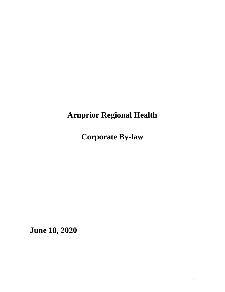# **Arnprior Regional Health**

**Corporate By-law** 

**June 18, 2020**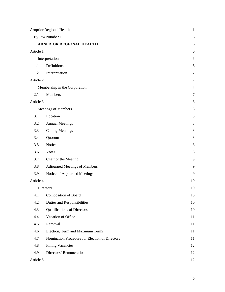| <b>Arnprior Regional Health</b> |                                                | $\mathbf{1}$ |
|---------------------------------|------------------------------------------------|--------------|
| By-law Number 1                 |                                                | 6            |
|                                 | ARNPRIOR REGIONAL HEALTH                       | 6            |
| Article 1                       |                                                | 6            |
|                                 | Interpretation                                 | 6            |
| 1.1                             | Definitions                                    | 6            |
| 1.2                             | Interpretation                                 | 7            |
| Article 2                       |                                                | $\tau$       |
| Membership in the Corporation   | $\tau$                                         |              |
| 2.1                             | Members                                        | $\tau$       |
| Article 3                       |                                                | 8            |
|                                 | Meetings of Members                            | 8            |
| 3.1                             | Location                                       | 8            |
| 3.2                             | <b>Annual Meetings</b>                         | 8            |
| 3.3                             | <b>Calling Meetings</b>                        | 8            |
| 3.4                             | Quorum                                         | 8            |
| 3.5                             | Notice                                         | 8            |
| 3.6                             | Votes                                          | 8            |
| 3.7                             | Chair of the Meeting                           | 9            |
| 3.8                             | <b>Adjourned Meetings of Members</b>           | 9            |
| 3.9                             | Notice of Adjourned Meetings                   | 9            |
| Article 4                       |                                                | 10           |
| Directors                       |                                                | 10           |
| 4.1                             | <b>Composition of Board</b>                    | 10           |
| 4.2                             | Duties and Responsibilities                    | 10           |
| 4.3                             | <b>Qualifications of Directors</b>             | 10           |
| 4.4                             | Vacation of Office                             | 11           |
| 4.5                             | Removal                                        | 11           |
| 4.6                             | Election, Term and Maximum Terms               | 11           |
| 4.7                             | Nomination Procedure for Election of Directors | 11           |
| 4.8                             | <b>Filling Vacancies</b>                       | 12           |
| 4.9                             | Directors' Remuneration                        | 12           |
| Article 5                       |                                                | 12           |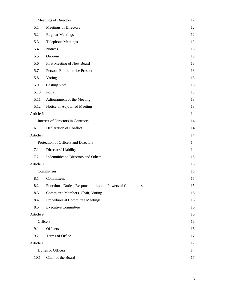|                                      | Meetings of Directors                                        | 12 |
|--------------------------------------|--------------------------------------------------------------|----|
| 5.1                                  | Meetings of Directors                                        | 12 |
| 5.2                                  | <b>Regular Meetings</b>                                      | 12 |
| 5.3                                  | <b>Telephone Meetings</b>                                    | 12 |
| 5.4                                  | Notices                                                      | 13 |
| 5.5                                  | Quorum                                                       | 13 |
| 5.6                                  | First Meeting of New Board                                   | 13 |
| 5.7                                  | Persons Entitled to be Present                               | 13 |
| 5.8                                  | Voting                                                       | 13 |
| 5.9                                  | <b>Casting Vote</b>                                          | 13 |
| 5.10                                 | Polls                                                        | 13 |
| 5.11                                 | Adjournment of the Meeting                                   | 13 |
| 5.12                                 | Notice of Adjourned Meeting                                  | 13 |
| Article 6                            |                                                              | 14 |
| Interest of Directors in Contracts   |                                                              | 14 |
| 6.1                                  | Declaration of Conflict                                      | 14 |
| Article 7                            |                                                              | 14 |
| Protection of Officers and Directors |                                                              | 14 |
| 7.1                                  | Directors' Liability                                         | 14 |
| 7.2                                  | Indemnities to Directors and Others                          | 15 |
| Article 8                            |                                                              | 15 |
|                                      | Committees                                                   | 15 |
| 8.1                                  | Committees                                                   | 15 |
| 8.2                                  | Functions, Duties, Responsibilities and Powers of Committees | 15 |
| 8.3                                  | Committee Members, Chair, Voting                             | 16 |
| 8.4                                  | Procedures at Committee Meetings                             | 16 |
| 8.5                                  | <b>Executive Committee</b>                                   | 16 |
| Article 9                            |                                                              | 16 |
|                                      | Officers                                                     | 16 |
| 9.1                                  | Officers                                                     | 16 |
| 9.2                                  | Terms of Office                                              | 17 |
| Article 10                           |                                                              | 17 |
|                                      | Duties of Officers                                           | 17 |
| 10.1                                 | Chair of the Board                                           | 17 |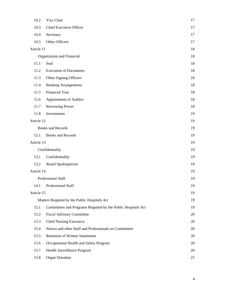| 10.2       | Vice Chair                                                   | 17 |
|------------|--------------------------------------------------------------|----|
| 10.3       | Chief Executive Officer                                      | 17 |
| 10.4       | Secretary                                                    | 17 |
| 10.5       | Other Officers                                               | 17 |
| Article 11 |                                                              | 18 |
|            | Organization and Financial                                   | 18 |
| 11.1       | Seal                                                         | 18 |
| 11.2       | <b>Execution of Documents</b>                                | 18 |
| 11.3       | Other Signing Officers                                       | 18 |
| 11.4       | <b>Banking Arrangements</b>                                  | 18 |
| 11.5       | Financial Year                                               | 18 |
| 11.6       | Appointment of Auditor                                       | 18 |
| 11.7       | <b>Borrowing Power</b>                                       | 18 |
| 11.8       | Investments                                                  | 19 |
| Article 12 |                                                              | 19 |
|            | <b>Books and Records</b>                                     | 19 |
| 12.1       | <b>Books and Records</b>                                     | 19 |
| Article 13 |                                                              | 19 |
|            | Confidentiality                                              | 19 |
| 13.1       | Confidentiality                                              | 19 |
| 13.2       | <b>Board Spokesperson</b>                                    | 19 |
| Article 14 |                                                              | 19 |
|            | Professional Staff                                           | 19 |
| 14.1       | Professional Staff                                           | 19 |
| Article 15 |                                                              | 19 |
|            | Matters Required by the Public Hospitals Act                 | 19 |
| 15.1       | Committees and Programs Required by the Public Hospitals Act | 19 |
| 15.2       | <b>Fiscal Advisory Committee</b>                             | 20 |
| 15.3       | <b>Chief Nursing Executive</b>                               | 20 |
| 15.4       | Nurses and other Staff and Professionals on Committees       | 20 |
| 15.5       | <b>Retention of Written Statements</b>                       | 20 |
| 15.6       | Occupational Health and Safety Program                       | 20 |
| 15.7       | Health Surveillance Program                                  | 20 |
| 15.8       | <b>Organ Donation</b>                                        | 21 |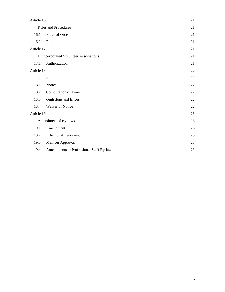| Article 16                            |                                         | 21 |
|---------------------------------------|-----------------------------------------|----|
| <b>Rules and Procedures</b>           |                                         | 21 |
| 16.1                                  | Rules of Order                          | 21 |
| 16.2                                  | Rules                                   | 21 |
| Article 17                            | 21                                      |    |
| Unincorporated Volunteer Associations |                                         |    |
| 17.1                                  | Authorization                           | 21 |
| Article 18                            |                                         | 22 |
| <b>Notices</b>                        |                                         | 22 |
| 18.1                                  | Notice                                  | 22 |
| 18.2                                  | Computation of Time                     | 22 |
| 18.3                                  | <b>Omissions and Errors</b>             | 22 |
| 18.4                                  | Waiver of Notice                        | 22 |
| Article 19                            |                                         | 23 |
|                                       | Amendment of By-laws                    | 23 |
| 19.1                                  | Amendment                               | 23 |
| 19.2                                  | <b>Effect of Amendment</b>              | 23 |
| 19.3                                  | Member Approval                         | 23 |
| 19.4                                  | Amendments to Professional Staff By-law | 23 |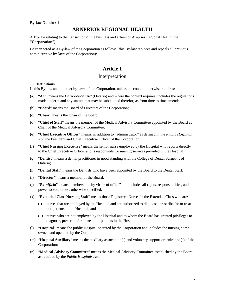#### **By-law Number 1**

# **ARNPRIOR REGIONAL HEALTH**

A By-law relating to the transaction of the business and affairs of Arnprior Regional Health (the "**Corporation**").

**Be it enacted** as a By-law of the Corporation as follows (this By-law replaces and repeals all previous administrative by-laws of the Corporation):

# **Article 1**

# Interpretation

#### **1.1 Definitions**

In this By-law and all other by-laws of the Corporation, unless the context otherwise requires:

- (a) "**Act**" means the *Corporations Act* (Ontario) and where the context requires, includes the regulations made under it and any statute that may be substituted therefor, as from time to time amended;
- (b) "**Board**" means the Board of Directors of the Corporation;
- (c) "**Chair**" means the Chair of the Board;
- (d) "**Chief of Staff**" means the member of the Medical Advisory Committee appointed by the Board as Chair of the Medical Advisory Committee;
- (e) "**Chief Executive Officer**" means, in addition to "administrator" as defined in the *Public Hospitals*  Act, the President and Chief Executive Officer of the Corporation;
- (f) "**Chief Nursing Executive**" means the senior nurse employed by the Hospital who reports directly to the Chief Executive Officer and is responsible for nursing services provided in the Hospital;
- (g) "**Dentist**" means a dental practitioner in good standing with the College of Dental Surgeons of Ontario;
- (h) "**Dental Staff**" means the Dentists who have been appointed by the Board to the Dental Staff;
- (i) "**Director**" means a member of the Board;
- (j) "*Ex-officio*" means membership "by virtue of office" and includes all rights, responsibilities, and power to vote unless otherwise specified;
- (k) "**Extended Class Nursing Staff**" means those Registered Nurses in the Extended Class who are:
	- (i) nurses that are employed by the Hospital and are authorized to diagnose, prescribe for or treat out-patients in the Hospital; and
	- (ii) nurses who are not employed by the Hospital and to whom the Board has granted privileges to diagnose, prescribe for or treat out-patients in the Hospital;
- (l) "**Hospital**" means the public Hospital operated by the Corporation and includes the nursing home owned and operated by the Corporation;
- (m) "**Hospital Auxiliary**" means the auxiliary association(s) and voluntary support organization(s) of the Corporation;
- (n) "**Medical Advisory Committee**" means the Medical Advisory Committee established by the Board as required by the *Public Hospitals Act*;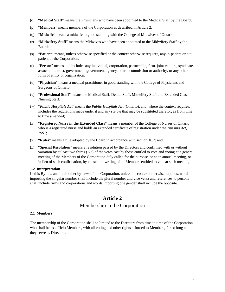- (o) "**Medical Staff**" means the Physicians who have been appointed to the Medical Staff by the Board;
- (p) "**Members**" means members of the Corporation as described in Article 2;
- (q) "**Midwife**" means a midwife in good standing with the College of Midwives of Ontario;
- (r) "**Midwifery Staff**" means the Midwives who have been appointed to the Midwifery Staff by the Board;
- (s) "**Patient**" means, unless otherwise specified or the context otherwise requires, any in-patient or outpatient of the Corporation;
- (t) "**Person**" means and includes any individual, corporation, partnership, firm, joint venture, syndicate, association, trust, government, government agency, board, commission or authority, or any other form of entity or organization;
- (u) "**Physician**" means a medical practitioner in good standing with the College of Physicians and Surgeons of Ontario;
- (v) "**Professional Staff**" means the Medical Staff, Dental Staff, Midwifery Staff and Extended Class Nursing Staff;
- (w) "*Public Hospitals Act*" means the *Public Hospitals Act* (Ontario), and, where the context requires, includes the regulations made under it and any statute that may be substituted therefor, as from time to time amended;
- (x) "**Registered Nurse in the Extended Class**" means a member of the College of Nurses of Ontario who is a registered nurse and holds an extended certificate of registration under the *Nursing Act, 1991*;
- (y) "**Rules**" means a rule adopted by the Board in accordance with section 16.2; and
- (z) "**Special Resolution**" means a resolution passed by the Directors and confirmed with or without variation by at least two thirds (2/3) of the votes cast by those entitled to vote and voting at a general meeting of the Members of the Corporation duly called for the purpose, or at an annual meeting, or in lieu of such confirmation, by consent in writing of all Members entitled to vote at such meeting.

### **1.2 Interpretation**

In this By-law and in all other by-laws of the Corporation, unless the context otherwise requires, words importing the singular number shall include the plural number and vice versa and references to persons shall include firms and corporations and words importing one gender shall include the opposite.

# **Article 2**

# Membership in the Corporation

### **2.1 Members**

The membership of the Corporation shall be limited to the Directors from time to time of the Corporation who shall be ex-officio Members, with all voting and other rights afforded to Members, for so long as they serve as Directors.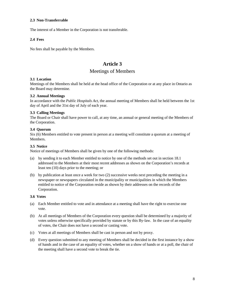### **2.3 Non-Transferrable**

The interest of a Member in the Corporation is not transferable.

### **2.4 Fees**

No fees shall be payable by the Members.

# **Article 3**

# Meetings of Members

### **3.1 Location**

Meetings of the Members shall be held at the head office of the Corporation or at any place in Ontario as the Board may determine.

### **3.2 Annual Meetings**

In accordance with the *Public Hospitals Act*, the annual meeting of Members shall be held between the 1st day of April and the 31st day of July of each year.

### **3.3 Calling Meetings**

The Board or Chair shall have power to call, at any time, an annual or general meeting of the Members of the Corporation.

### **3.4 Quorum**

Six (6) Members entitled to vote present in person at a meeting will constitute a quorum at a meeting of Members.

### **3.5 Notice**

Notice of meetings of Members shall be given by one of the following methods:

- (a) by sending it to each Member entitled to notice by one of the methods set out in section 18.1 addressed to the Members at their most recent addresses as shown on the Corporation's records at least ten (10) days prior to the meeting; or
- (b) by publication at least once a week for two (2) successive weeks next preceding the meeting in a newspaper or newspapers circulated in the municipality or municipalities in which the Members entitled to notice of the Corporation reside as shown by their addresses on the records of the Corporation.

#### **3.6 Votes**

- (a) Each Member entitled to vote and in attendance at a meeting shall have the right to exercise one vote.
- (b) At all meetings of Members of the Corporation every question shall be determined by a majority of votes unless otherwise specifically provided by statute or by this By-law. In the case of an equality of votes, the Chair does not have a second or casting vote.
- (c) Votes at all meetings of Members shall be cast in person and not by proxy.
- (d) Every question submitted to any meeting of Members shall be decided in the first instance by a show of hands and in the case of an equality of votes, whether on a show of hands or at a poll, the chair of the meeting shall have a second vote to break the tie.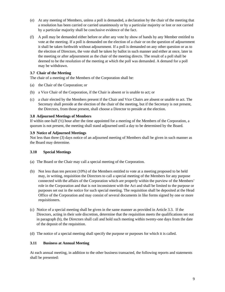- (e) At any meeting of Members, unless a poll is demanded, a declaration by the chair of the meeting that a resolution has been carried or carried unanimously or by a particular majority or lost or not carried by a particular majority shall be conclusive evidence of the fact.
- (f) A poll may be demanded either before or after any vote by show of hands by any Member entitled to vote at the meeting. If a poll is demanded on the election of a chair or on the question of adjournment it shall be taken forthwith without adjournment. If a poll is demanded on any other question or as to the election of Directors, the vote shall be taken by ballot in such manner and either at once, later in the meeting or after adjournment as the chair of the meeting directs. The result of a poll shall be deemed to be the resolution of the meeting at which the poll was demanded. A demand for a poll may be withdrawn.

### **3.7 Chair of the Meeting**

The chair of a meeting of the Members of the Corporation shall be:

- (a) the Chair of the Corporation; or
- (b) a Vice Chair of the Corporation, if the Chair is absent or is unable to act; or
- (c) a chair elected by the Members present if the Chair and Vice Chairs are absent or unable to act. The Secretary shall preside at the election of the chair of the meeting, but if the Secretary is not present, the Directors, from those present, shall choose a Director to preside at the election.

### **3.8 Adjourned Meetings of Members**

If within one-half (½) hour after the time appointed for a meeting of the Members of the Corporation, a quorum is not present, the meeting shall stand adjourned until a day to be determined by the Board.

### **3.9 Notice of Adjourned Meetings**

Not less than three (3) days notice of an adjourned meeting of Members shall be given in such manner as the Board may determine.

### **3.10 Special Meetings**

- (a) The Board or the Chair may call a special meeting of the Corporation.
- (b) Not less than ten percent (10%) of the Members entitled to vote at a meeting proposed to be held may, in writing, requisition the Directors to call a special meeting of the Members for any purpose connected with the affairs of the Corporation which are properly within the purview of the Members' role in the Corporation and that is not inconsistent with the Act and shall be limited to the purpose or purposes set out in the notice for such special meeting. The requisition shall be deposited at the Head Office of the Corporation and may consist of several documents in like forms signed by one or more requisitioners.
- (c) Notice of a special meeting shall be given in the same manner as provided in Article 3.3. If the Directors, acting in their sole discretion, determine that the requisition meets the qualifications set out in paragraph (b), the Directors shall call and hold such meeting within twenty-one days from the date of the deposit of the requisition.
- (d) The notice of a special meeting shall specify the purpose or purposes for which it is called.

### **3.11 Business at Annual Meeting**

At each annual meeting, in addition to the other business transacted, the following reports and statements shall be presented: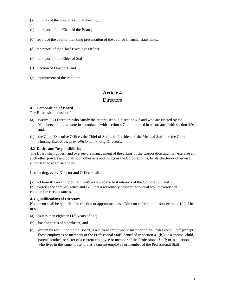- (a) minutes of the previous annual meeting;
- (b) the report of the Chair of the Board;
- (c) report of the auditor including presentation of the audited financial statements;
- (d) the report of the Chief Executive Officer;
- (e) the report of the Chief of Staff;
- (f) election of Directors; and
- (g) appointment of the Auditors.

# **Article 4**

### **Directors**

### **4.1 Composition of Board**

The Board shall consist of:

- (a) twelve (12) Directors who satisfy the criteria set out in section 4.3 and who are elected by the Members entitled to vote in accordance with section 4.7 or appointed in accordance with section 4.9; and,
- (b) the Chief Executive Officer, the Chief of Staff, the President of the Medical Staff and the Chief Nursing Executive, as *ex-officio* non-voting Directors.

### **4.2 Duties and Responsibilities**

The Board shall govern and oversee the management of the affairs of the Corporation and may exercise all such other powers and do all such other acts and things as the Corporation is, by its charter or otherwise, authorized to exercise and do.

In so acting, every Director and Officer shall:

(a) act honestly and in good faith with a view to the best interests of the Corporation; and

(b) exercise the care, diligence and skill that a reasonably prudent individual would exercise in comparable circumstances.

### **4.3 Qualifications of Directors**

No person shall be qualified for election or appointment as a Director referred to in subsection 4.1(a) if he or she:

- (a) is less than eighteen (18) years of age;
- (b) has the status of a bankrupt; and
- (c) except by resolution of the Board, is a current employee or member of the Professional Staff (except those employees or members of the Professional Staff identified in section 4.1(b)); is a spouse, child, parent, brother, or sister of a current employee or member of the Professional Staff; or is a person who lives in the same household as a current employee or member of the Professional Staff.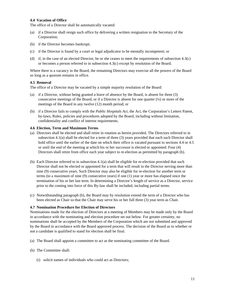### **4.4 Vacation of Office**

The office of a Director shall be automatically vacated:

- (a) if a Director shall resign such office by delivering a written resignation to the Secretary of the Corporation;
- (b) if the Director becomes bankrupt;
- (c) if the Director is found by a court or legal adjudicator to be mentally incompetent; or
- (d) if, in the case of an elected Director, he or she ceases to meet the requirements of subsection 4.3(c) or becomes a person referred to in subsection 4.3(c) except by resolution of the Board.

Where there is a vacancy in the Board, the remaining Directors may exercise all the powers of the Board so long as a quorum remains in office.

#### **4.5 Removal**

The office of a Director may be vacated by a simple majority resolution of the Board:

- (a) if a Director, without being granted a leave of absence by the Board, is absent for three (3) consecutive meetings of the Board, or if a Director is absent for one quarter  $(\frac{1}{4})$  or more of the meetings of the Board in any twelve (12) month period; or
- (b) if a Director fails to comply with the *Public Hospitals Act*, the Act, the Corporation's Letters Patent, by-laws, Rules, policies and procedures adopted by the Board, including without limitation, confidentiality and conflict of interest requirements.

#### **4.6 Election, Term and Maximum Terms**

- (a) Directors shall be elected and shall retire in rotation as herein provided. The Directors referred to in subsection 4.1(a) shall be elected for a term of three (3) years provided that each such Director shall hold office until the earlier of the date on which their office is vacated pursuant to sections 4.4 or 4.5 or until the end of the meeting at which his or her successor is elected or appointed. Four (4) Directors shall retire from office each year subject to re-election as permitted by paragraph (b).
- (b) Each Director referred to in subsection 4.1(a) shall be eligible for re-election provided that such Director shall not be elected or appointed for a term that will result in the Director serving more than nine (9) consecutive years. Such Director may also be eligible for re-election for another term or terms (to a maximum of nine (9) consecutive years) if one (1) year or more has elapsed since the termination of his or her last term. In determining a Director's length of service as a Director, service prior to the coming into force of this By-law shall be included, including partial terms.
- (c) Notwithstanding paragraph (b), the Board may by resolution extend the term of a Director who has been elected as Chair so that the Chair may serve his or her full three (3) year term as Chair.

#### **4.7 Nomination Procedure for Election of Directors**

Nominations made for the election of Directors at a meeting of Members may be made only by the Board in accordance with the nominating and election procedure set out below. For greater certainty, no nominations shall be accepted by the Members of the Corporation which are not submitted and approved by the Board in accordance with the Board approved process. The decision of the Board as to whether or not a candidate is qualified to stand for election shall be final.

- (a) The Board shall appoint a committee to act as the nominating committee of the Board.
- (b) The Committee shall:
	- (i) solicit names of individuals who could act as Directors;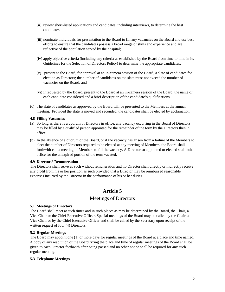- (ii) review short-listed applications and candidates, including interviews, to determine the best candidates;
- (iii) nominate individuals for presentation to the Board to fill any vacancies on the Board and use best efforts to ensure that the candidates possess a broad range of skills and experience and are reflective of the population served by the hospital;
- (iv) apply objective criteria (including any criteria as established by the Board from time to time in its Guidelines for the Selection of Directors Policy) to determine the appropriate candidates;
- (v) present to the Board, for approval at an in-camera session of the Board, a slate of candidates for election as Directors; the number of candidates on the slate must not exceed the number of vacancies on the Board; and
- (vi) if requested by the Board, present to the Board at an in-camera session of the Board, the name of each candidate considered and a brief description of the candidate's qualifications.
- (c) The slate of candidates as approved by the Board will be presented to the Members at the annual meeting. Provided the slate is moved and seconded, the candidates shall be elected by acclamation.

#### **4.8 Filling Vacancies**

- (a) So long as there is a quorum of Directors in office, any vacancy occurring in the Board of Directors may be filled by a qualified person appointed for the remainder of the term by the Directors then in office.
- (b) In the absence of a quorum of the Board, or if the vacancy has arisen from a failure of the Members to elect the number of Directors required to be elected at any meeting of Members, the Board shall forthwith call a meeting of Members to fill the vacancy. A Director so appointed or elected shall hold office for the unexpired portion of the term vacated.

#### **4.9 Directors' Remuneration**

The Directors shall serve as such without remuneration and no Director shall directly or indirectly receive any profit from his or her position as such provided that a Director may be reimbursed reasonable expenses incurred by the Director in the performance of his or her duties.

# **Article 5**

### Meetings of Directors

#### **5.1 Meetings of Directors**

The Board shall meet at such times and in such places as may be determined by the Board, the Chair, a Vice Chair or the Chief Executive Officer. Special meetings of the Board may be called by the Chair, a Vice Chair or by the Chief Executive Officer and shall be called by the Secretary upon receipt of the written request of four (4) Directors.

#### **5.2 Regular Meetings**

The Board may appoint one (1) or more days for regular meetings of the Board at a place and time named. A copy of any resolution of the Board fixing the place and time of regular meetings of the Board shall be given to each Director forthwith after being passed and no other notice shall be required for any such regular meeting.

#### **5.3 Telephone Meetings**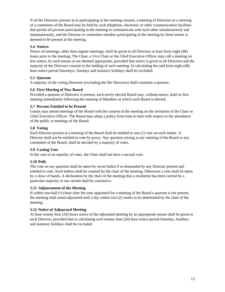If all the Directors present at or participating in the meeting consent, a meeting of Directors or a meeting of a committee of the Board may be held by such telephone, electronic or other communication facilities that permit all persons participating in the meeting to communicate with each other simultaneously and instantaneously, and the Director or committee member participating in the meeting by those means is deemed to be present at the meeting.

### **5.4 Notices**

Notice of meetings, other than regular meetings, shall be given to all Directors at least forty-eight (48) hours prior to the meeting. The Chair, a Vice Chair or the Chief Executive Officer may call a meeting on less notice, by such means as are deemed appropriate, provided that notice is given to all Directors and the majority of the Directors consent to the holding of such meeting. In calculating the said forty-eight (48) hour notice period Saturdays, Sundays and statutory holidays shall be excluded.

### **5.5 Quorum**

A majority of the voting Directors (excluding the life Directors) shall constitute a quorum.

### **5.6 First Meeting of New Board**

Provided a quorum of Directors is present, each newly elected Board may, without notice, hold its first meeting immediately following the meeting of Members at which such Board is elected.

### **5.7 Persons Entitled to be Present**

Guests may attend meetings of the Board with the consent of the meeting on the invitation of the Chair or Chief Executive Officer. The Board may adopt a policy from time to time with respect to the attendance of the public at meetings of the Board.

### **5.8 Voting**

Each Director present at a meeting of the Board shall be entitled to one (1) vote on each matter. A Director shall not be entitled to vote by proxy. Any question arising at any meeting of the Board or any committee of the Board, shall be decided by a majority of votes.

### **5.9 Casting Vote**

In the case of an equality of votes, the Chair shall not have a second vote.

### **5.10 Polls**

The vote on any question shall be taken by secret ballot if so demanded by any Director present and entitled to vote. Such ballots shall be counted by the chair of the meeting. Otherwise a vote shall be taken by a show of hands. A declaration by the chair of the meeting that a resolution has been carried by a particular majority or not carried shall be conclusive.

### **5.11 Adjournment of the Meeting**

If within one-half  $(\frac{1}{2})$  hour after the time appointed for a meeting of the Board a quorum is not present, the meeting shall stand adjourned until a day within two (2) weeks to be determined by the chair of the meeting.

### **5.12 Notice of Adjourned Meeting**

At least twenty-four (24) hours notice of the adjourned meeting by an appropriate means shall be given to each Director; provided that in calculating such twenty-four (24) hour notice period Saturday, Sundays and statutory holidays shall be excluded.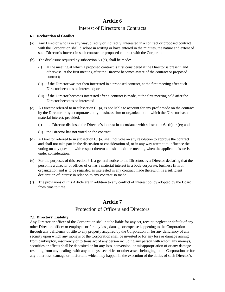# **Article 6**

# Interest of Directors in Contracts

### **6.1 Declaration of Conflict**

- (a) Any Director who is in any way, directly or indirectly, interested in a contract or proposed contract with the Corporation shall disclose in writing or have entered in the minutes, the nature and extent of such Director's interest in such contract or proposed contract with the Corporation.
- (b) The disclosure required by subsection  $6.1(a)$ , shall be made:
	- (i) at the meeting at which a proposed contract is first considered if the Director is present, and otherwise, at the first meeting after the Director becomes aware of the contract or proposed contract;
	- (ii) if the Director was not then interested in a proposed contract, at the first meeting after such Director becomes so interested; or
	- (iii) if the Director becomes interested after a contract is made, at the first meeting held after the Director becomes so interested.
- (c) A Director referred to in subsection 6.1(a) is not liable to account for any profit made on the contract by the Director or by a corporate entity, business firm or organization in which the Director has a material interest, provided:
	- (i) the Director disclosed the Director's interest in accordance with subsection 6.1(b) or (e); and
	- (ii) the Director has not voted on the contract.
- (d) A Director referred to in subsection 6.1(a) shall not vote on any resolution to approve the contract and shall not take part in the discussion or consideration of, or in any way attempt to influence the voting on any question with respect thereto and shall exit the meeting when the applicable issue is under consideration.
- (e) For the purposes of this section 6.1, a general notice to the Directors by a Director declaring that the person is a director or officer of or has a material interest in a body corporate, business firm or organization and is to be regarded as interested in any contract made therewith, is a sufficient declaration of interest in relation to any contract so made.
- (f) The provisions of this Article are in addition to any conflict of interest policy adopted by the Board from time to time.

# **Article 7**

# Protection of Officers and Directors

### **7.1 Directors' Liability**

Any Director or officer of the Corporation shall not be liable for any act, receipt, neglect or default of any other Director, officer or employee or for any loss, damage or expense happening to the Corporation through any deficiency of title to any property acquired by the Corporation or for any deficiency of any security upon which any moneys of the Corporation shall be invested or for any loss or damage arising from bankruptcy, insolvency or tortious act of any person including any person with whom any moneys, securities or effects shall be deposited or for any loss, conversion, or misappropriation of or any damage resulting from any dealings with any moneys, securities or other assets belonging to the Corporation or for any other loss, damage or misfortune which may happen in the execution of the duties of such Director's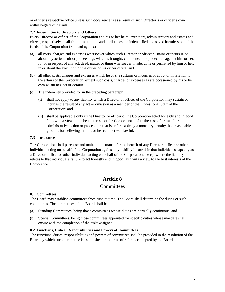or officer's respective office unless such occurrence is as a result of such Director's or officer's own wilful neglect or default.

### **7.2 Indemnities to Directors and Others**

Every Director or officer of the Corporation and his or her heirs, executors, administrators and estates and effects, respectively, shall from time to time and at all times, be indemnified and saved harmless out of the funds of the Corporation from and against:

- (a) all costs, charges and expenses whatsoever which such Director or officer sustains or incurs in or about any action, suit or proceedings which is brought, commenced or prosecuted against him or her, for or in respect of any act, deed, matter or thing whatsoever, made, done or permitted by him or her, in or about the execution of the duties of his or her office; and
- (b) all other costs, charges and expenses which he or she sustains or incurs in or about or in relation to the affairs of the Corporation, except such costs, charges or expenses as are occasioned by his or her own wilful neglect or default.
- (c) The indemnity provided for in the preceding paragraph:
	- (i) shall not apply to any liability which a Director or officer of the Corporation may sustain or incur as the result of any act or omission as a member of the Professional Staff of the Corporation; and
	- (ii) shall be applicable only if the Director or officer of the Corporation acted honestly and in good faith with a view to the best interests of the Corporation and in the case of criminal or administrative action or proceeding that is enforceable by a monetary penalty, had reasonable grounds for believing that his or her conduct was lawful.

### **7.3 Insurance**

The Corporation shall purchase and maintain insurance for the benefit of any Director, officer or other individual acting on behalf of the Corporation against any liability incurred in that individual's capacity as a Director, officer or other individual acting on behalf of the Corporation, except where the liability relates to that individual's failure to act honestly and in good faith with a view to the best interests of the Corporation.

# **Article 8**

# **Committees**

### **8.1 Committees**

The Board may establish committees from time to time. The Board shall determine the duties of such committees. The committees of the Board shall be:

- (a) Standing Committees, being those committees whose duties are normally continuous; and
- (b) Special Committees, being those committees appointed for specific duties whose mandate shall expire with the completion of the tasks assigned.

### **8.2 Functions, Duties, Responsibilities and Powers of Committees**

The functions, duties, responsibilities and powers of committees shall be provided in the resolution of the Board by which such committee is established or in terms of reference adopted by the Board.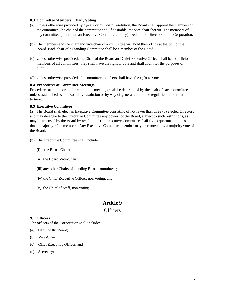### **8.3 Committee Members, Chair, Voting**

- (a) Unless otherwise provided by by-law or by Board resolution, the Board shall appoint the members of the committee, the chair of the committee and, if desirable, the vice chair thereof. The members of any committee (other than an Executive Committee, if any) need not be Directors of the Corporation.
- (b) The members and the chair and vice chair of a committee will hold their office at the will of the Board. Each chair of a Standing Committee shall be a member of the Board.
- (c) Unless otherwise provided, the Chair of the Board and Chief Executive Officer shall be ex-officio members of all committees; they shall have the right to vote and shall count for the purposes of quorum.
- (d) Unless otherwise provided, all Committee members shall have the right to vote.

#### **8.4 Procedures at Committee Meetings**

Procedures at and quorum for committee meetings shall be determined by the chair of each committee, unless established by the Board by resolution or by way of general committee regulations from time to time.

#### **8.5 Executive Committee**

(a) The Board shall elect an Executive Committee consisting of not fewer than three (3) elected Directors and may delegate to the Executive Committee any powers of the Board, subject to such restrictions, as may be imposed by the Board by resolution. The Executive Committee shall fix its quorum at not less than a majority of its members. Any Executive Committee member may be removed by a majority vote of the Board.

- (b) The Executive Committee shall include:
	- (i) the Board Chair;
	- (ii) the Board Vice-Chair;
	- (iii) any other Chairs of standing Board committees;
	- (iv) the Chief Executive Officer, non-voting; and
	- (v) the Chief of Staff, non-voting.

# **Article 9**

### **Officers**

#### **9.1 Officers**

The officers of the Corporation shall include:

- (a) Chair of the Board;
- (b) Vice-Chair;
- (c) Chief Executive Officer; and
- (d) Secretary;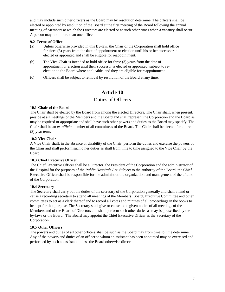and may include such other officers as the Board may by resolution determine. The officers shall be elected or appointed by resolution of the Board at the first meeting of the Board following the annual meeting of Members at which the Directors are elected or at such other times when a vacancy shall occur. A person may hold more than one office.

### **9.2 Terms of Office**

- (a) Unless otherwise provided in this By-law, the Chair of the Corporation shall hold office for three (3) years from the date of appointment or election until his or her successor is elected or appointed and shall be eligible for reappointment.
- (b) The Vice-Chair is intended to hold office for three (3) years from the date of appointment or election until their successor is elected or appointed, subject to reelection to the Board where applicable, and they are eligible for reappointment.
- (c) Officers shall be subject to removal by resolution of the Board at any time.

# **Article 10**

# Duties of Officers

### **10.1 Chair of the Board**

The Chair shall be elected by the Board from among the elected Directors. The Chair shall, when present, preside at all meetings of the Members and the Board and shall represent the Corporation and the Board as may be required or appropriate and shall have such other powers and duties as the Board may specify. The Chair shall be an *ex-officio* member of all committees of the Board. The Chair shall be elected for a three (3) year term.

### **10.2 Vice Chair**

A Vice Chair shall, in the absence or disability of the Chair, perform the duties and exercise the powers of the Chair and shall perform such other duties as shall from time to time assigned to the Vice Chair by the Board.

### **10.3 Chief Executive Officer**

The Chief Executive Officer shall be a Director, the President of the Corporation and the administrator of the Hospital for the purposes of the *Public Hospitals Act*. Subject to the authority of the Board, the Chief Executive Officer shall be responsible for the administration, organization and management of the affairs of the Corporation.

### **10.4 Secretary**

The Secretary shall carry out the duties of the secretary of the Corporation generally and shall attend or cause a recording secretary to attend all meetings of the Members, Board, Executive Committee and other committees to act as a clerk thereof and to record all votes and minutes of all proceedings in the books to be kept for that purpose. The Secretary shall give or cause to be given notice of all meetings of the Members and of the Board of Directors and shall perform such other duties as may be prescribed by the by-laws or the Board. The Board may appoint the Chief Executive Officer as the Secretary of the Corporation.

### **10.5 Other Officers**

The powers and duties of all other officers shall be such as the Board may from time to time determine. Any of the powers and duties of an officer to whom an assistant has been appointed may be exercised and performed by such an assistant unless the Board otherwise directs.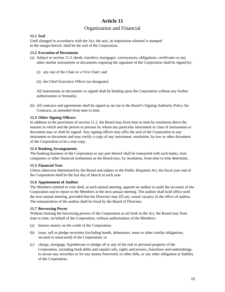# **Article 11**  Organization and Financial

# **11.1 Seal**

Until changed in accordance with the Act, the seal, an impression whereof is stamped in the margin hereof, shall be the seal of the Corporation.

### **11.2 Execution of Documents**

- (a) Subject to section 11.3, deeds, transfers, mortgages, conveyances, obligations, certificates or any other similar instruments or documents requiring the signature of the Corporation shall be signed by:
	- (i) any one of the Chair or a Vice Chair; and
	- (ii) the Chief Executive Officer (or designate).

 All instruments or documents so signed shall be binding upon the Corporation without any further authorization or formality.

(b) All contracts and agreements shall be signed as set out in the Board's Signing Authority Policy for Contracts, as amended from time to time.

### **11.3 Other Signing Officers**

In addition to the provisions of section 11.2, the Board may from time to time by resolution direct the manner in which and the person or persons by whom any particular instrument or class of instruments or document may or shall be signed. Any signing officer may affix the seal of the Corporation to any instrument or document and may certify a copy of any instrument, resolution, by-law or other document of the Corporation to be a true copy.

### **11.4 Banking Arrangements**

The banking business of the Corporation or any part thereof shall be transacted with such banks, trust companies or other financial institutions as the Board may, by resolution, from time to time determine.

### **11.5 Financial Year**

Unless otherwise determined by the Board and subject to the *Public Hospitals Act*, the fiscal year end of the Corporation shall be the last day of March in each year.

### **11.6 Appointment of Auditor**

The Members entitled to vote shall, at each annual meeting, appoint an auditor to audit the accounts of the Corporation and to report to the Members at the next annual meeting. The auditor shall hold office until the next annual meeting, provided that the Directors may fill any casual vacancy in the office of auditor. The remuneration of the auditor shall be fixed by the Board of Directors.

### **11.7 Borrowing Power**

Without limiting the borrowing powers of the Corporation as set forth in the Act, the Board may from time to time, on behalf of the Corporation, without authorization of the Members:

- (a) borrow money on the credit of the Corporation;
- (b) issue, sell or pledge securities (including bonds, debentures, notes or other similar obligations, secured or unsecured) of the Corporation; or
- (c) charge, mortgage, hypothecate or pledge all or any of the real or personal property of the Corporation, including book debts and unpaid calls, rights and powers, franchises and undertakings, to secure any securities or for any money borrowed, or other debt, or any other obligation or liability of the Corporation.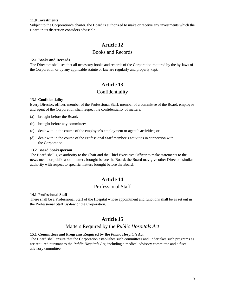#### **11.8 Investments**

Subject to the Corporation's charter, the Board is authorized to make or receive any investments which the Board in its discretion considers advisable.

# **Article 12**

### Books and Records

#### **12.1 Books and Records**

The Directors shall see that all necessary books and records of the Corporation required by the by-laws of the Corporation or by any applicable statute or law are regularly and properly kept.

# **Article 13**

# Confidentiality

### **13.1 Confidentiality**

Every Director, officer, member of the Professional Staff, member of a committee of the Board, employee and agent of the Corporation shall respect the confidentiality of matters:

- (a) brought before the Board;
- (b) brought before any committee;
- (c) dealt with in the course of the employee's employment or agent's activities; or
- (d) dealt with in the course of the Professional Staff member's activities in connection with the Corporation.

#### **13.2 Board Spokesperson**

The Board shall give authority to the Chair and the Chief Executive Officer to make statements to the news media or public about matters brought before the Board; the Board may give other Directors similar authority with respect to specific matters brought before the Board.

# **Article 14**

### Professional Staff

#### **14.1 Professional Staff**

There shall be a Professional Staff of the Hospital whose appointment and functions shall be as set out in the Professional Staff By-law of the Corporation.

# **Article 15**

# Matters Required by the *Public Hospitals Act*

### **15.1 Committees and Programs Required by the** *Public Hospitals Act*

The Board shall ensure that the Corporation establishes such committees and undertakes such programs as are required pursuant to the *Public Hospitals Act*, including a medical advisory committee and a fiscal advisory committee.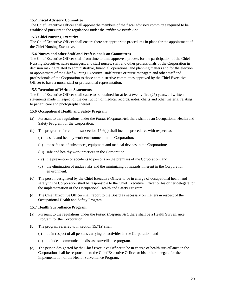### **15.2 Fiscal Advisory Committee**

The Chief Executive Officer shall appoint the members of the fiscal advisory committee required to be established pursuant to the regulations under the *Public Hospitals Act*.

### **15.3 Chief Nursing Executive**

The Chief Executive Officer shall ensure there are appropriate procedures in place for the appointment of the Chief Nursing Executive.

### **15.4 Nurses and other Staff and Professionals on Committees**

The Chief Executive Officer shall from time to time approve a process for the participation of the Chief Nursing Executive, nurse managers, and staff nurses, staff and other professionals of the Corporation in decision making related to administrative, financial, operational and planning matters and for the election or appointment of the Chief Nursing Executive, staff nurses or nurse managers and other staff and professionals of the Corporation to those administrative committees approved by the Chief Executive Officer to have a nurse, staff or professional representation.

### **15.5 Retention of Written Statements**

The Chief Executive Officer shall cause to be retained for at least twenty five (25) years, all written statements made in respect of the destruction of medical records, notes, charts and other material relating to patient care and photographs thereof.

### **15.6 Occupational Health and Safety Program**

- (a) Pursuant to the regulations under the *Public Hospitals Act*, there shall be an Occupational Health and Safety Program for the Corporation.
- (b) The program referred to in subsection 15.6(a) shall include procedures with respect to:
	- (i) a safe and healthy work environment in the Corporation;
	- (ii) the safe use of substances, equipment and medical devices in the Corporation;
	- (iii) safe and healthy work practices in the Corporation;
	- (iv) the prevention of accidents to persons on the premises of the Corporation; and
	- (v) the elimination of undue risks and the minimizing of hazards inherent in the Corporation environment.
- (c) The person designated by the Chief Executive Officer to be in charge of occupational health and safety in the Corporation shall be responsible to the Chief Executive Officer or his or her delegate for the implementation of the Occupational Health and Safety Program.
- (d) The Chief Executive Officer shall report to the Board as necessary on matters in respect of the Occupational Health and Safety Program.

#### **15.7 Health Surveillance Program**

- (a) Pursuant to the regulations under the *Public Hospitals Act*, there shall be a Health Surveillance Program for the Corporation.
- (b) The program referred to in section 15.7(a) shall:
	- (i) be in respect of all persons carrying on activities in the Corporation, and
	- (ii) include a communicable disease surveillance program.
- (c) The person designated by the Chief Executive Officer to be in charge of health surveillance in the Corporation shall be responsible to the Chief Executive Officer or his or her delegate for the implementation of the Health Surveillance Program.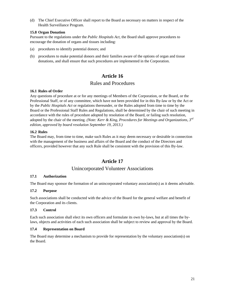(d) The Chief Executive Officer shall report to the Board as necessary on matters in respect of the Health Surveillance Program.

### **15.8 Organ Donation**

Pursuant to the regulations under the *Public Hospitals Act*, the Board shall approve procedures to encourage the donation of organs and tissues including:

- (a) procedures to identify potential donors; and
- (b) procedures to make potential donors and their families aware of the options of organ and tissue donations, and shall ensure that such procedures are implemented in the Corporation.

# **Article 16**

# Rules and Procedures

### **16.1 Rules of Order**

Any questions of procedure at or for any meetings of Members of the Corporation, or the Board, or the Professional Staff, or of any committee, which have not been provided for in this By-law or by the Act or by the *Public Hospitals Act* or regulations thereunder, or the Rules adopted from time to time by the Board or the Professional Staff Rules and Regulations, shall be determined by the chair of such meeting in accordance with the rules of procedure adopted by resolution of the Board, or failing such resolution, adopted by the chair of the meeting. *(Note: Kerr & King, Procedures for Meetings and Organizations, 3rd edition, approved by board resolution September 19, 2013.)* 

### **16.2 Rules**

The Board may, from time to time, make such Rules as it may deem necessary or desirable in connection with the management of the business and affairs of the Board and the conduct of the Directors and officers, provided however that any such Rule shall be consistent with the provision of this By-law.

# **Article 17**

# Unincorporated Volunteer Associations

### **17.1 Authorization**

The Board may sponsor the formation of an unincorporated voluntary association(s) as it deems advisable.

### **17.2 Purpose**

Such associations shall be conducted with the advice of the Board for the general welfare and benefit of the Corporation and its clients.

### **17.3 Control**

Each such association shall elect its own officers and formulate its own by-laws, but at all times the bylaws, objects and activities of each such association shall be subject to review and approval by the Board.

#### **17.4 Representation on Board**

The Board may determine a mechanism to provide for representation by the voluntary association(s) on the Board.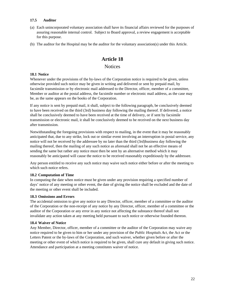### **17.5 Auditor**

- (a) Each unincorporated voluntary association shall have its financial affairs reviewed for the purposes of assuring reasonable internal control. Subject to Board approval, a review engagement is acceptable for this purpose.
- (b) The auditor for the Hospital may be the auditor for the voluntary association(s) under this Article.

# **Article 18**

# **Notices**

### **18.1 Notice**

Whenever under the provisions of the by-laws of the Corporation notice is required to be given, unless otherwise provided such notice may be given in writing and delivered or sent by prepaid mail, by facsimile transmission or by electronic mail addressed to the Director, officer, member of a committee, Member or auditor at the postal address, the facsimile number or electronic mail address, as the case may be, as the same appears on the books of the Corporation.

If any notice is sent by prepaid mail, it shall, subject to the following paragraph, be conclusively deemed to have been received on the third (3rd) business day following the mailing thereof. If delivered, a notice shall be conclusively deemed to have been received at the time of delivery, or if sent by facsimile transmission or electronic mail, it shall be conclusively deemed to be received on the next business day after transmission.

Notwithstanding the foregoing provisions with respect to mailing, in the event that it may be reasonably anticipated that, due to any strike, lock out or similar event involving an interruption in postal service, any notice will not be received by the addressee by no later than the third (3rd)business day following the mailing thereof, then the mailing of any such notice as aforesaid shall not be an effective means of sending the same but rather any notice must then be sent by an alternative method which it may reasonably be anticipated will cause the notice to be received reasonably expeditiously by the addressee.

Any person entitled to receive any such notice may waive such notice either before or after the meeting to which such notice refers.

### **18.2 Computation of Time**

In computing the date when notice must be given under any provision requiring a specified number of days' notice of any meeting or other event, the date of giving the notice shall be excluded and the date of the meeting or other event shall be included.

### **18.3 Omissions and Errors**

The accidental omission to give any notice to any Director, officer, member of a committee or the auditor of the Corporation or the non-receipt of any notice by any Director, officer, member of a committee or the auditor of the Corporation or any error in any notice not affecting the substance thereof shall not invalidate any action taken at any meeting held pursuant to such notice or otherwise founded thereon.

### **18.4 Waiver of Notice**

Any Member, Director, officer, member of a committee or the auditor of the Corporation may waive any notice required to be given to him or her under any provision of the *Public Hospitals Act*, the Act or the Letters Patent or the by-laws of the Corporation, and such waiver, whether given before or after the meeting or other event of which notice is required to be given, shall cure any default in giving such notice. Attendance and participation at a meeting constitutes waiver of notice.